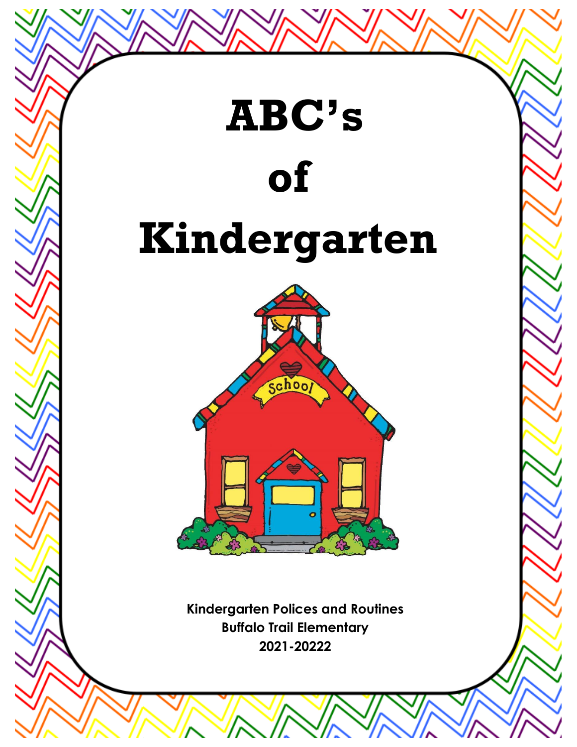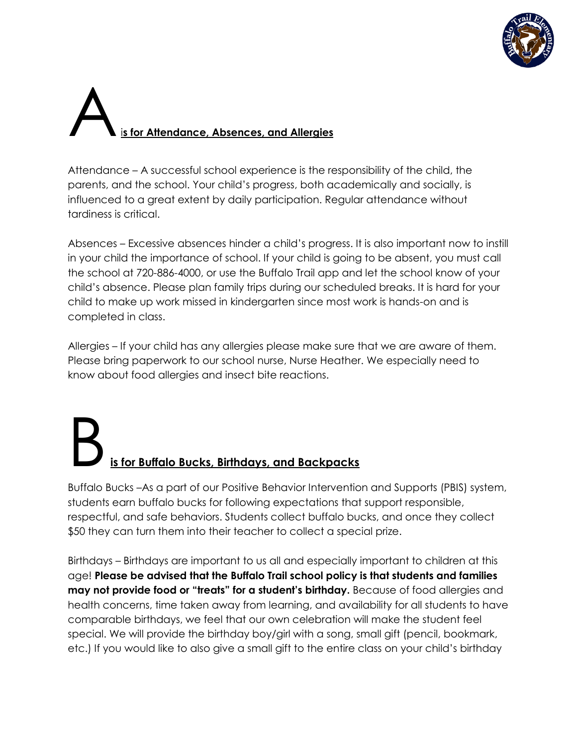

#### Ai**s for Attendance, Absences, and Allergies**

Attendance – A successful school experience is the responsibility of the child, the parents, and the school. Your child's progress, both academically and socially, is influenced to a great extent by daily participation. Regular attendance without tardiness is critical.

Absences – Excessive absences hinder a child's progress. It is also important now to instill in your child the importance of school. If your child is going to be absent, you must call the school at 720-886-4000, or use the Buffalo Trail app and let the school know of your child's absence. Please plan family trips during our scheduled breaks. It is hard for your child to make up work missed in kindergarten since most work is hands-on and is completed in class.

Allergies – If your child has any allergies please make sure that we are aware of them. Please bring paperwork to our school nurse, Nurse Heather. We especially need to know about food allergies and insect bite reactions.

### B**is for Buffalo Bucks, Birthdays, and Backpacks**

Buffalo Bucks –As a part of our Positive Behavior Intervention and Supports (PBIS) system, students earn buffalo bucks for following expectations that support responsible, respectful, and safe behaviors. Students collect buffalo bucks, and once they collect \$50 they can turn them into their teacher to collect a special prize.

Birthdays – Birthdays are important to us all and especially important to children at this age! **Please be advised that the Buffalo Trail school policy is that students and families may not provide food or "treats" for a student's birthday.** Because of food allergies and health concerns, time taken away from learning, and availability for all students to have comparable birthdays, we feel that our own celebration will make the student feel special. We will provide the birthday boy/girl with a song, small gift (pencil, bookmark, etc.) If you would like to also give a small gift to the entire class on your child's birthday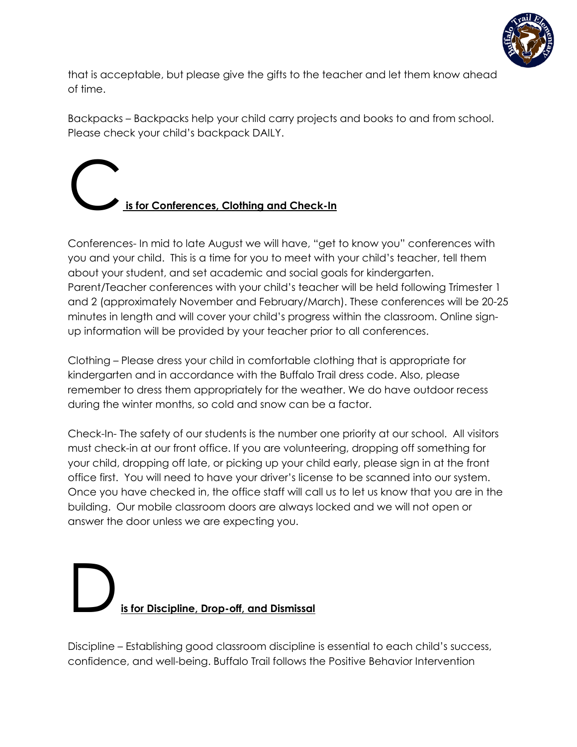

that is acceptable, but please give the gifts to the teacher and let them know ahead of time.

Backpacks – Backpacks help your child carry projects and books to and from school. Please check your child's backpack DAILY.

#### C**is for Conferences, Clothing and Check-In**

Conferences- In mid to late August we will have, "get to know you" conferences with you and your child. This is a time for you to meet with your child's teacher, tell them about your student, and set academic and social goals for kindergarten. Parent/Teacher conferences with your child's teacher will be held following Trimester 1 and 2 (approximately November and February/March). These conferences will be 20-25 minutes in length and will cover your child's progress within the classroom. Online signup information will be provided by your teacher prior to all conferences.

Clothing – Please dress your child in comfortable clothing that is appropriate for kindergarten and in accordance with the Buffalo Trail dress code. Also, please remember to dress them appropriately for the weather. We do have outdoor recess during the winter months, so cold and snow can be a factor.

Check-In- The safety of our students is the number one priority at our school. All visitors must check-in at our front office. If you are volunteering, dropping off something for your child, dropping off late, or picking up your child early, please sign in at the front office first. You will need to have your driver's license to be scanned into our system. Once you have checked in, the office staff will call us to let us know that you are in the building. Our mobile classroom doors are always locked and we will not open or answer the door unless we are expecting you.

### D**is for Discipline, Drop-off, and Dismissal**

Discipline – Establishing good classroom discipline is essential to each child's success, confidence, and well-being. Buffalo Trail follows the Positive Behavior Intervention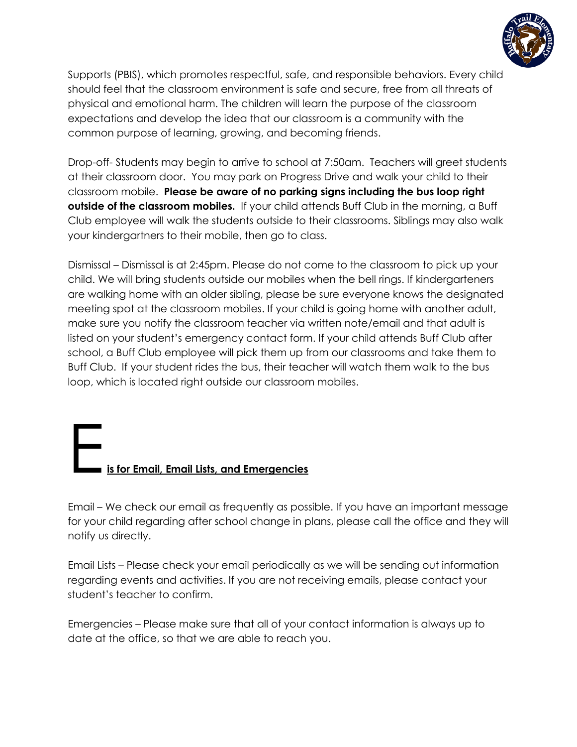

Supports (PBIS), which promotes respectful, safe, and responsible behaviors. Every child should feel that the classroom environment is safe and secure, free from all threats of physical and emotional harm. The children will learn the purpose of the classroom expectations and develop the idea that our classroom is a community with the common purpose of learning, growing, and becoming friends.

Drop-off- Students may begin to arrive to school at 7:50am. Teachers will greet students at their classroom door. You may park on Progress Drive and walk your child to their classroom mobile. **Please be aware of no parking signs including the bus loop right outside of the classroom mobiles.** If your child attends Buff Club in the morning, a Buff Club employee will walk the students outside to their classrooms. Siblings may also walk your kindergartners to their mobile, then go to class.

Dismissal – Dismissal is at 2:45pm. Please do not come to the classroom to pick up your child. We will bring students outside our mobiles when the bell rings. If kindergarteners are walking home with an older sibling, please be sure everyone knows the designated meeting spot at the classroom mobiles. If your child is going home with another adult, make sure you notify the classroom teacher via written note/email and that adult is listed on your student's emergency contact form. If your child attends Buff Club after school, a Buff Club employee will pick them up from our classrooms and take them to Buff Club. If your student rides the bus, their teacher will watch them walk to the bus loop, which is located right outside our classroom mobiles.

#### E**is for Email, Email Lists, and Emergencies**

Email – We check our email as frequently as possible. If you have an important message for your child regarding after school change in plans, please call the office and they will notify us directly.

Email Lists – Please check your email periodically as we will be sending out information regarding events and activities. If you are not receiving emails, please contact your student's teacher to confirm.

Emergencies – Please make sure that all of your contact information is always up to date at the office, so that we are able to reach you.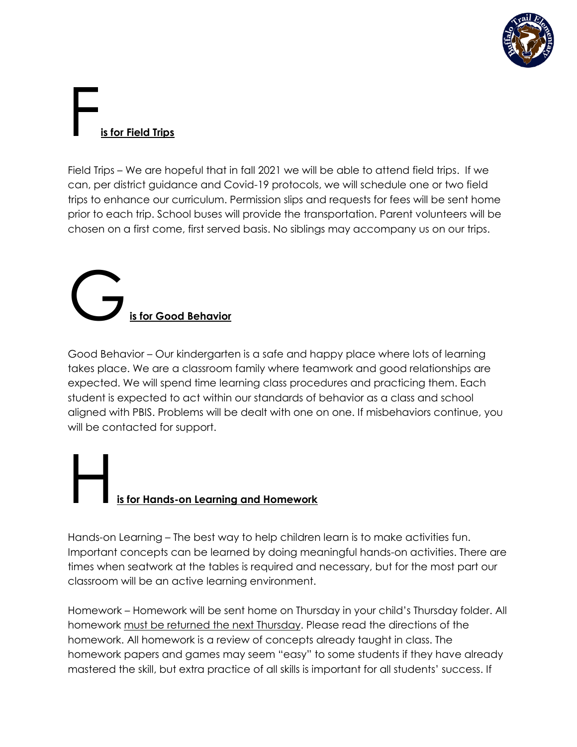

# **Fig. 3**<br>**<u>is for Field Trips</u>**

Field Trips – We are hopeful that in fall 2021 we will be able to attend field trips. If we can, per district guidance and Covid-19 protocols, we will schedule one or two field trips to enhance our curriculum. Permission slips and requests for fees will be sent home prior to each trip. School buses will provide the transportation. Parent volunteers will be chosen on a first come, first served basis. No siblings may accompany us on our trips.

# G**is for Good Behavior**

Good Behavior – Our kindergarten is a safe and happy place where lots of learning takes place. We are a classroom family where teamwork and good relationships are expected. We will spend time learning class procedures and practicing them. Each student is expected to act within our standards of behavior as a class and school aligned with PBIS. Problems will be dealt with one on one. If misbehaviors continue, you will be contacted for support.

#### <u>s for Hands-on Learning a</u>nd Homework

Hands-on Learning – The best way to help children learn is to make activities fun. Important concepts can be learned by doing meaningful hands-on activities. There are times when seatwork at the tables is required and necessary, but for the most part our classroom will be an active learning environment.

Homework – Homework will be sent home on Thursday in your child's Thursday folder. All homework must be returned the next Thursday. Please read the directions of the homework. All homework is a review of concepts already taught in class. The homework papers and games may seem "easy" to some students if they have already mastered the skill, but extra practice of all skills is important for all students' success. If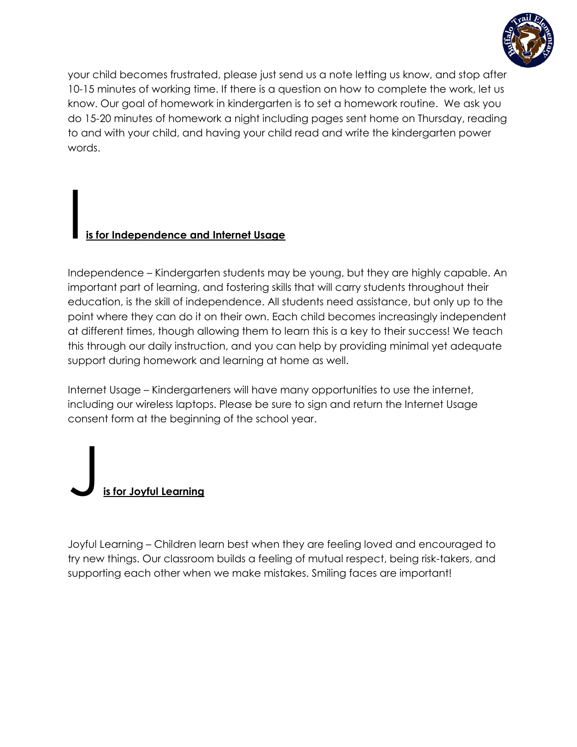

your child becomes frustrated, please just send us a note letting us know, and stop after 10-15 minutes of working time. If there is a question on how to complete the work, let us know. Our goal of homework in kindergarten is to set a homework routine. We ask you do 15-20 minutes of homework a night including pages sent home on Thursday, reading to and with your child, and having your child read and write the kindergarten power words.

#### I **is for Independence and Internet Usage**

Independence – Kindergarten students may be young, but they are highly capable. An important part of learning, and fostering skills that will carry students throughout their education, is the skill of independence. All students need assistance, but only up to the point where they can do it on their own. Each child becomes increasingly independent at different times, though allowing them to learn this is a key to their success! We teach this through our daily instruction, and you can help by providing minimal yet adequate support during homework and learning at home as well.

Internet Usage – Kindergarteners will have many opportunities to use the internet, including our wireless laptops. Please be sure to sign and return the Internet Usage consent form at the beginning of the school year.



Joyful Learning – Children learn best when they are feeling loved and encouraged to try new things. Our classroom builds a feeling of mutual respect, being risk-takers, and supporting each other when we make mistakes. Smiling faces are important!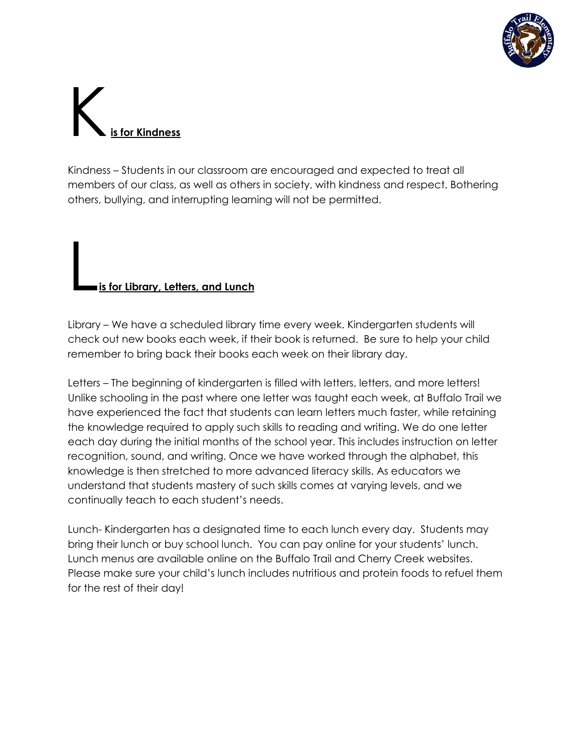

# K**is for Kindness**

Kindness – Students in our classroom are encouraged and expected to treat all members of our class, as well as others in society, with kindness and respect. Bothering others, bullying, and interrupting learning will not be permitted.

#### L**is for Library, Letters, and Lunch**

Library – We have a scheduled library time every week. Kindergarten students will check out new books each week, if their book is returned. Be sure to help your child remember to bring back their books each week on their library day.

Letters – The beginning of kindergarten is filled with letters, letters, and more letters! Unlike schooling in the past where one letter was taught each week, at Buffalo Trail we have experienced the fact that students can learn letters much faster, while retaining the knowledge required to apply such skills to reading and writing. We do one letter each day during the initial months of the school year. This includes instruction on letter recognition, sound, and writing. Once we have worked through the alphabet, this knowledge is then stretched to more advanced literacy skills. As educators we understand that students mastery of such skills comes at varying levels, and we continually teach to each student's needs.

Lunch- Kindergarten has a designated time to each lunch every day. Students may bring their lunch or buy school lunch. You can pay online for your students' lunch. Lunch menus are available online on the Buffalo Trail and Cherry Creek websites. Please make sure your child's lunch includes nutritious and protein foods to refuel them for the rest of their day!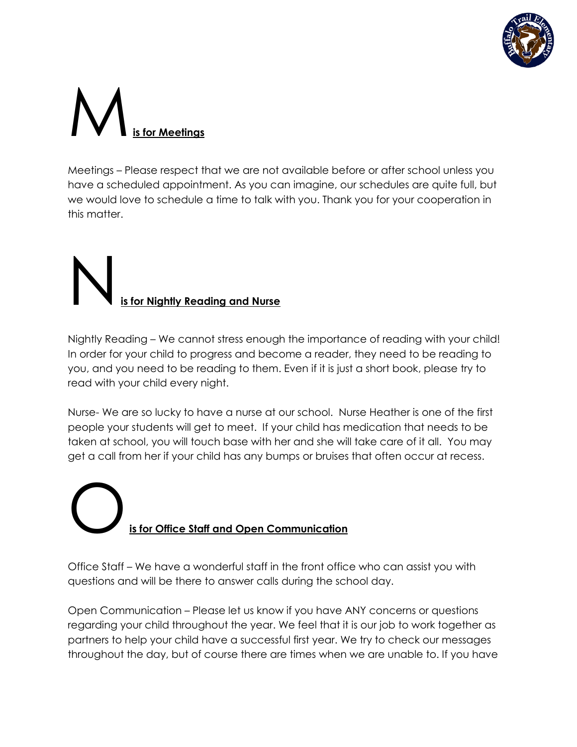

# M**is for Meetings**

Meetings – Please respect that we are not available before or after school unless you have a scheduled appointment. As you can imagine, our schedules are quite full, but we would love to schedule a time to talk with you. Thank you for your cooperation in this matter.

# N**is for Nightly Reading and Nurse**

Nightly Reading – We cannot stress enough the importance of reading with your child! In order for your child to progress and become a reader, they need to be reading to you, and you need to be reading to them. Even if it is just a short book, please try to read with your child every night.

Nurse- We are so lucky to have a nurse at our school. Nurse Heather is one of the first people your students will get to meet. If your child has medication that needs to be taken at school, you will touch base with her and she will take care of it all. You may get a call from her if your child has any bumps or bruises that often occur at recess.

### O**is for Office Staff and Open Communication**

Office Staff – We have a wonderful staff in the front office who can assist you with questions and will be there to answer calls during the school day.

Open Communication – Please let us know if you have ANY concerns or questions regarding your child throughout the year. We feel that it is our job to work together as partners to help your child have a successful first year. We try to check our messages throughout the day, but of course there are times when we are unable to. If you have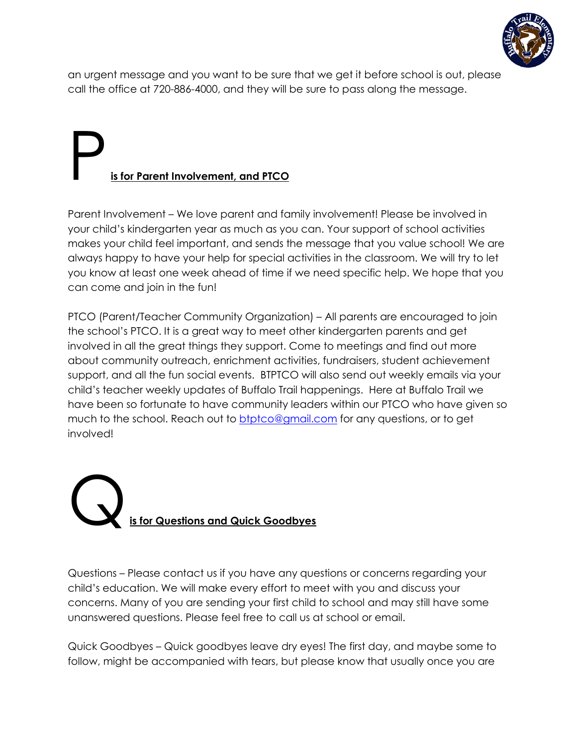

an urgent message and you want to be sure that we get it before school is out, please call the office at 720-886-4000, and they will be sure to pass along the message.

### P**is for Parent Involvement, and PTCO**

Parent Involvement – We love parent and family involvement! Please be involved in your child's kindergarten year as much as you can. Your support of school activities makes your child feel important, and sends the message that you value school! We are always happy to have your help for special activities in the classroom. We will try to let you know at least one week ahead of time if we need specific help. We hope that you can come and join in the fun!

PTCO (Parent/Teacher Community Organization) – All parents are encouraged to join the school's PTCO. It is a great way to meet other kindergarten parents and get involved in all the great things they support. Come to meetings and find out more about community outreach, enrichment activities, fundraisers, student achievement support, and all the fun social events. BTPTCO will also send out weekly emails via your child's teacher weekly updates of Buffalo Trail happenings. Here at Buffalo Trail we have been so fortunate to have community leaders within our PTCO who have given so much to the school. Reach out to **btptco@gmail.com** for any questions, or to get involved!

#### Q**is for Questions and Quick Goodbyes**

Questions – Please contact us if you have any questions or concerns regarding your child's education. We will make every effort to meet with you and discuss your concerns. Many of you are sending your first child to school and may still have some unanswered questions. Please feel free to call us at school or email.

Quick Goodbyes – Quick goodbyes leave dry eyes! The first day, and maybe some to follow, might be accompanied with tears, but please know that usually once you are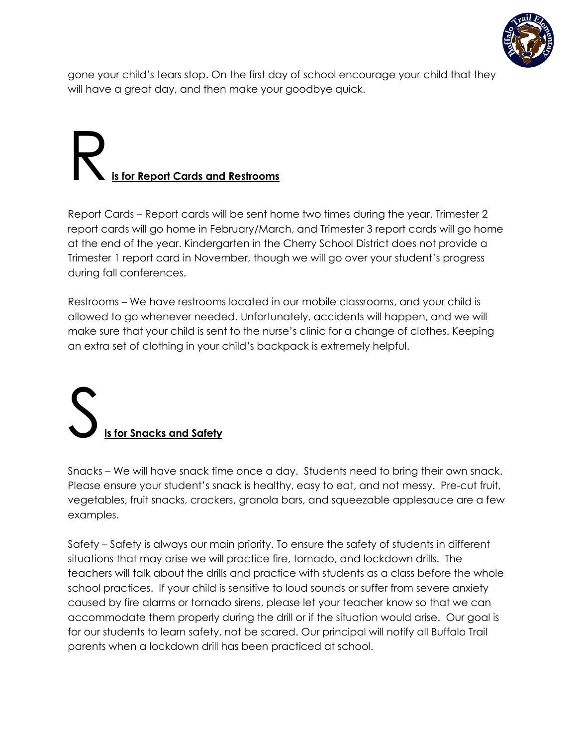

gone your child's tears stop. On the first day of school encourage your child that they will have a great day, and then make your goodbye quick.

### R**is for Report Cards and Restrooms**

Report Cards – Report cards will be sent home two times during the year. Trimester 2 report cards will go home in February/March, and Trimester 3 report cards will go home at the end of the year. Kindergarten in the Cherry School District does not provide a Trimester 1 report card in November, though we will go over your student's progress during fall conferences.

Restrooms – We have restrooms located in our mobile classrooms, and your child is allowed to go whenever needed. Unfortunately, accidents will happen, and we will make sure that your child is sent to the nurse's clinic for a change of clothes. Keeping an extra set of clothing in your child's backpack is extremely helpful.

#### **is for Snacks and Safety**

Snacks – We will have snack time once a day. Students need to bring their own snack. Please ensure your student's snack is healthy, easy to eat, and not messy. Pre-cut fruit, vegetables, fruit snacks, crackers, granola bars, and squeezable applesauce are a few examples.

Safety – Safety is always our main priority. To ensure the safety of students in different situations that may arise we will practice fire, tornado, and lockdown drills. The teachers will talk about the drills and practice with students as a class before the whole school practices. If your child is sensitive to loud sounds or suffer from severe anxiety caused by fire alarms or tornado sirens, please let your teacher know so that we can accommodate them properly during the drill or if the situation would arise. Our goal is for our students to learn safety, not be scared. Our principal will notify all Buffalo Trail parents when a lockdown drill has been practiced at school.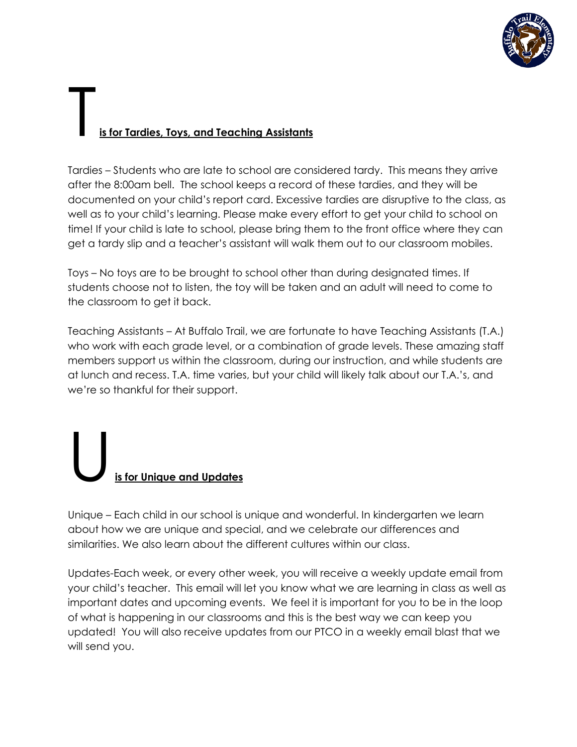

#### T**is for Tardies, Toys, and Teaching Assistants**

Tardies – Students who are late to school are considered tardy. This means they arrive after the 8:00am bell. The school keeps a record of these tardies, and they will be documented on your child's report card. Excessive tardies are disruptive to the class, as well as to your child's learning. Please make every effort to get your child to school on time! If your child is late to school, please bring them to the front office where they can get a tardy slip and a teacher's assistant will walk them out to our classroom mobiles.

Toys – No toys are to be brought to school other than during designated times. If students choose not to listen, the toy will be taken and an adult will need to come to the classroom to get it back.

Teaching Assistants – At Buffalo Trail, we are fortunate to have Teaching Assistants (T.A.) who work with each grade level, or a combination of grade levels. These amazing staff members support us within the classroom, during our instruction, and while students are at lunch and recess. T.A. time varies, but your child will likely talk about our T.A.'s, and we're so thankful for their support.

#### U**is for Unique and Updates**

Unique – Each child in our school is unique and wonderful. In kindergarten we learn about how we are unique and special, and we celebrate our differences and similarities. We also learn about the different cultures within our class.

Updates-Each week, or every other week, you will receive a weekly update email from your child's teacher. This email will let you know what we are learning in class as well as important dates and upcoming events. We feel it is important for you to be in the loop of what is happening in our classrooms and this is the best way we can keep you updated! You will also receive updates from our PTCO in a weekly email blast that we will send you.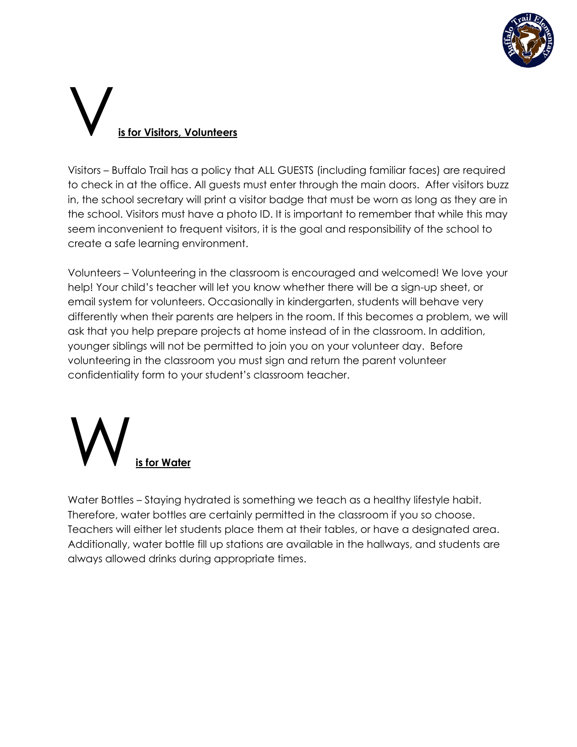

# V**is for Visitors, Volunteers**

Visitors – Buffalo Trail has a policy that ALL GUESTS (including familiar faces) are required to check in at the office. All guests must enter through the main doors. After visitors buzz in, the school secretary will print a visitor badge that must be worn as long as they are in the school. Visitors must have a photo ID. It is important to remember that while this may seem inconvenient to frequent visitors, it is the goal and responsibility of the school to create a safe learning environment.

Volunteers – Volunteering in the classroom is encouraged and welcomed! We love your help! Your child's teacher will let you know whether there will be a sign-up sheet, or email system for volunteers. Occasionally in kindergarten, students will behave very differently when their parents are helpers in the room. If this becomes a problem, we will ask that you help prepare projects at home instead of in the classroom. In addition, younger siblings will not be permitted to join you on your volunteer day. Before volunteering in the classroom you must sign and return the parent volunteer confidentiality form to your student's classroom teacher.



Water Bottles – Staying hydrated is something we teach as a healthy lifestyle habit. Therefore, water bottles are certainly permitted in the classroom if you so choose. Teachers will either let students place them at their tables, or have a designated area. Additionally, water bottle fill up stations are available in the hallways, and students are always allowed drinks during appropriate times.